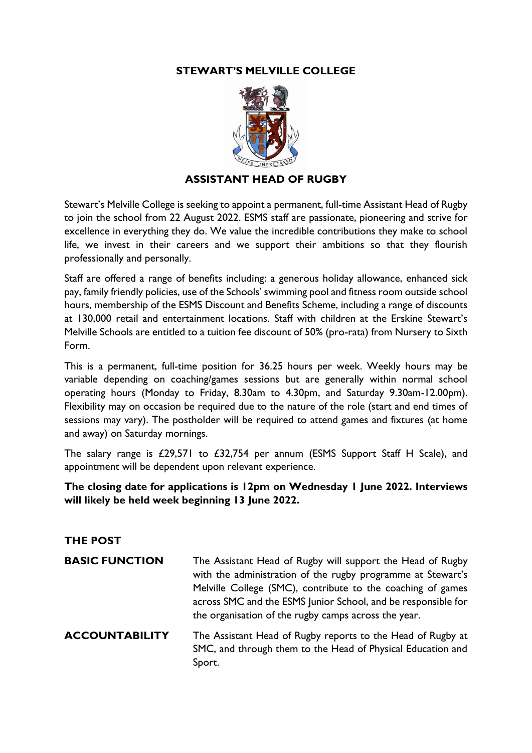# **STEWART'S MELVILLE COLLEGE**



### **ASSISTANT HEAD OF RUGBY**

Stewart's Melville College is seeking to appoint a permanent, full-time Assistant Head of Rugby to join the school from 22 August 2022. ESMS staff are passionate, pioneering and strive for excellence in everything they do. We value the incredible contributions they make to school life, we invest in their careers and we support their ambitions so that they flourish professionally and personally.

Staff are offered a range of benefits including: a generous holiday allowance, enhanced sick pay, family friendly policies, use of the Schools' swimming pool and fitness room outside school hours, membership of the ESMS Discount and Benefits Scheme, including a range of discounts at 130,000 retail and entertainment locations. Staff with children at the Erskine Stewart's Melville Schools are entitled to a tuition fee discount of 50% (pro-rata) from Nursery to Sixth Form.

This is a permanent, full-time position for 36.25 hours per week. Weekly hours may be variable depending on coaching/games sessions but are generally within normal school operating hours (Monday to Friday, 8.30am to 4.30pm, and Saturday 9.30am-12.00pm). Flexibility may on occasion be required due to the nature of the role (start and end times of sessions may vary). The postholder will be required to attend games and fixtures (at home and away) on Saturday mornings.

The salary range is £29,571 to £32,754 per annum (ESMS Support Staff H Scale), and appointment will be dependent upon relevant experience.

# **The closing date for applications is 12pm on Wednesday 1 June 2022. Interviews will likely be held week beginning 13 June 2022.**

#### **THE POST**

| <b>BASIC FUNCTION</b> | The Assistant Head of Rugby will support the Head of Rugby<br>with the administration of the rugby programme at Stewart's<br>Melville College (SMC), contribute to the coaching of games<br>across SMC and the ESMS Junior School, and be responsible for<br>the organisation of the rugby camps across the year. |
|-----------------------|-------------------------------------------------------------------------------------------------------------------------------------------------------------------------------------------------------------------------------------------------------------------------------------------------------------------|
| <b>ACCOUNTABILITY</b> | The Assistant Head of Rugby reports to the Head of Rugby at<br>SMC, and through them to the Head of Physical Education and<br>Sport.                                                                                                                                                                              |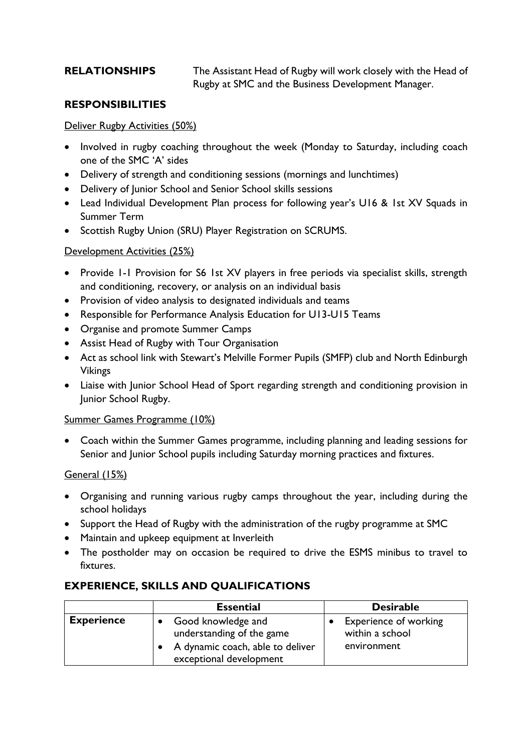**RELATIONSHIPS** The Assistant Head of Rugby will work closely with the Head of Rugby at SMC and the Business Development Manager.

### **RESPONSIBILITIES**

#### Deliver Rugby Activities (50%)

- Involved in rugby coaching throughout the week (Monday to Saturday, including coach one of the SMC 'A' sides
- Delivery of strength and conditioning sessions (mornings and lunchtimes)
- Delivery of Junior School and Senior School skills sessions
- Lead Individual Development Plan process for following year's U16 & 1st XV Squads in Summer Term
- Scottish Rugby Union (SRU) Player Registration on SCRUMS.

#### Development Activities (25%)

- Provide I-I Provision for S6 1st XV players in free periods via specialist skills, strength and conditioning, recovery, or analysis on an individual basis
- Provision of video analysis to designated individuals and teams
- Responsible for Performance Analysis Education for U13-U15 Teams
- Organise and promote Summer Camps
- Assist Head of Rugby with Tour Organisation
- Act as school link with Stewart's Melville Former Pupils (SMFP) club and North Edinburgh Vikings
- Liaise with Junior School Head of Sport regarding strength and conditioning provision in Junior School Rugby.

#### Summer Games Programme (10%)

• Coach within the Summer Games programme, including planning and leading sessions for Senior and Junior School pupils including Saturday morning practices and fixtures.

#### General (15%)

- Organising and running various rugby camps throughout the year, including during the school holidays
- Support the Head of Rugby with the administration of the rugby programme at SMC
- Maintain and upkeep equipment at Inverleith
- The postholder may on occasion be required to drive the ESMS minibus to travel to fixtures.

## **EXPERIENCE, SKILLS AND QUALIFICATIONS**

|                   | <b>Essential</b>                                                                                                 | <b>Desirable</b>                                        |
|-------------------|------------------------------------------------------------------------------------------------------------------|---------------------------------------------------------|
| <b>Experience</b> | Good knowledge and<br>understanding of the game<br>• A dynamic coach, able to deliver<br>exceptional development | Experience of working<br>within a school<br>environment |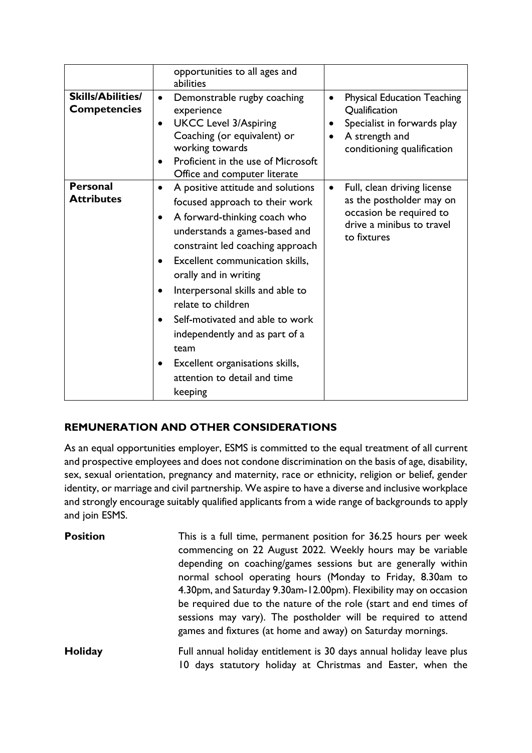|                                                 | opportunities to all ages and<br>abilities                                                                                                                                                                                                                                                                                                                                                                                                                                                    |                                                                                                                                                                     |
|-------------------------------------------------|-----------------------------------------------------------------------------------------------------------------------------------------------------------------------------------------------------------------------------------------------------------------------------------------------------------------------------------------------------------------------------------------------------------------------------------------------------------------------------------------------|---------------------------------------------------------------------------------------------------------------------------------------------------------------------|
| <b>Skills/Abilities/</b><br><b>Competencies</b> | Demonstrable rugby coaching<br>$\bullet$<br>experience<br><b>UKCC Level 3/Aspiring</b><br>$\bullet$<br>Coaching (or equivalent) or<br>working towards<br>Proficient in the use of Microsoft<br>$\bullet$<br>Office and computer literate                                                                                                                                                                                                                                                      | <b>Physical Education Teaching</b><br>$\bullet$<br><b>Qualification</b><br>Specialist in forwards play<br>A strength and<br>$\bullet$<br>conditioning qualification |
| <b>Personal</b><br><b>Attributes</b>            | A positive attitude and solutions<br>$\bullet$<br>focused approach to their work<br>A forward-thinking coach who<br>understands a games-based and<br>constraint led coaching approach<br>Excellent communication skills,<br>٠<br>orally and in writing<br>Interpersonal skills and able to<br>$\bullet$<br>relate to children<br>Self-motivated and able to work<br>independently and as part of a<br>team<br>Excellent organisations skills,<br>٠<br>attention to detail and time<br>keeping | Full, clean driving license<br>$\bullet$<br>as the postholder may on<br>occasion be required to<br>drive a minibus to travel<br>to fixtures                         |

# **REMUNERATION AND OTHER CONSIDERATIONS**

As an equal opportunities employer, ESMS is committed to the equal treatment of all current and prospective employees and does not condone discrimination on the basis of age, disability, sex, sexual orientation, pregnancy and maternity, race or ethnicity, religion or belief, gender identity, or marriage and civil partnership. We aspire to have a diverse and inclusive workplace and strongly encourage suitably qualified applicants from a wide range of backgrounds to apply and join ESMS.

| <b>Position</b> | This is a full time, permanent position for 36.25 hours per week<br>commencing on 22 August 2022. Weekly hours may be variable<br>depending on coaching/games sessions but are generally within<br>normal school operating hours (Monday to Friday, 8.30am to<br>4.30pm, and Saturday 9.30am-12.00pm). Flexibility may on occasion<br>be required due to the nature of the role (start and end times of<br>sessions may vary). The postholder will be required to attend |
|-----------------|--------------------------------------------------------------------------------------------------------------------------------------------------------------------------------------------------------------------------------------------------------------------------------------------------------------------------------------------------------------------------------------------------------------------------------------------------------------------------|
|                 | games and fixtures (at home and away) on Saturday mornings.                                                                                                                                                                                                                                                                                                                                                                                                              |
| Holiday         | Full annual holiday entitlement is 30 days annual holiday leave plus<br>10 days statutory holiday at Christmas and Easter, when the                                                                                                                                                                                                                                                                                                                                      |